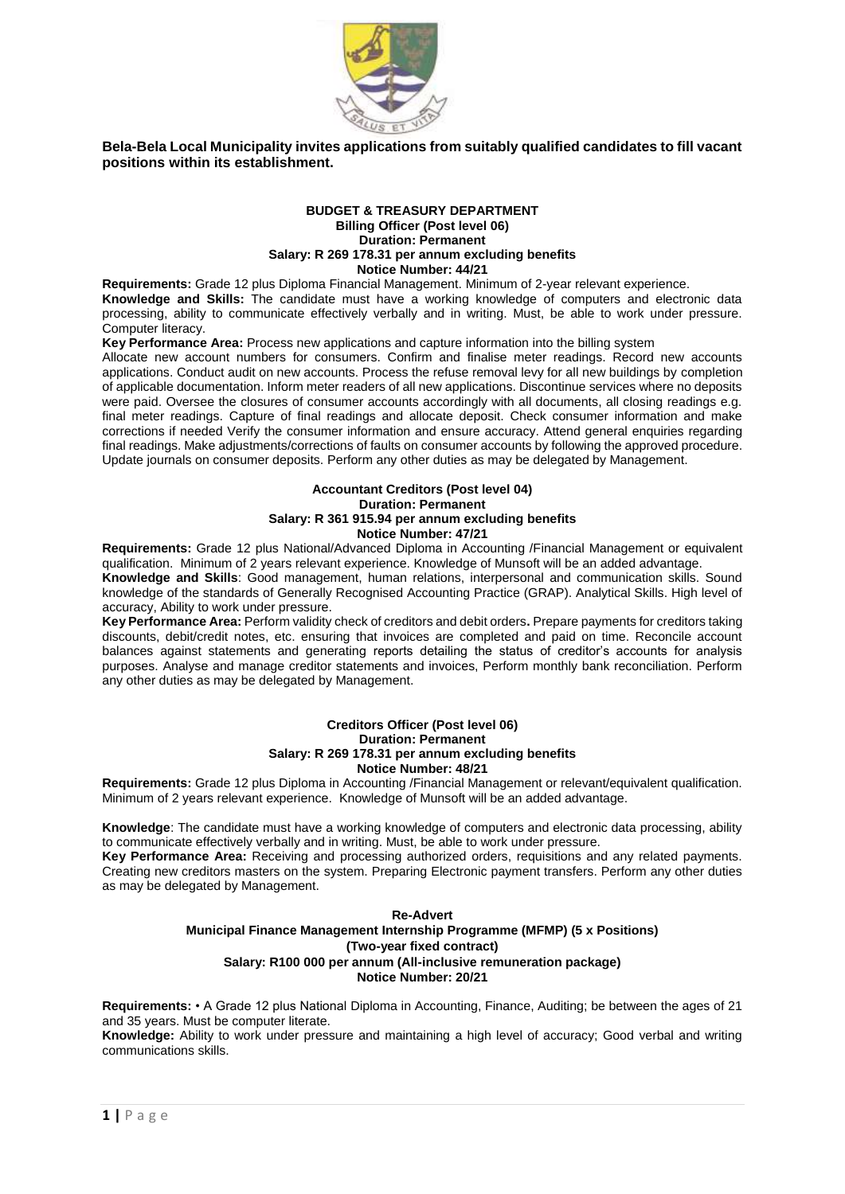

**Bela-Bela Local Municipality invites applications from suitably qualified candidates to fill vacant positions within its establishment.** 

#### **BUDGET & TREASURY DEPARTMENT Billing Officer (Post level 06) Duration: Permanent Salary: R 269 178.31 per annum excluding benefits Notice Number: 44/21**

**Requirements:** Grade 12 plus Diploma Financial Management. Minimum of 2-year relevant experience. **Knowledge and Skills:** The candidate must have a working knowledge of computers and electronic data processing, ability to communicate effectively verbally and in writing. Must, be able to work under pressure. Computer literacy.

**Key Performance Area:** Process new applications and capture information into the billing system

Allocate new account numbers for consumers. Confirm and finalise meter readings. Record new accounts applications. Conduct audit on new accounts. Process the refuse removal levy for all new buildings by completion of applicable documentation. Inform meter readers of all new applications. Discontinue services where no deposits were paid. Oversee the closures of consumer accounts accordingly with all documents, all closing readings e.g. final meter readings. Capture of final readings and allocate deposit. Check consumer information and make corrections if needed Verify the consumer information and ensure accuracy. Attend general enquiries regarding final readings. Make adjustments/corrections of faults on consumer accounts by following the approved procedure. Update journals on consumer deposits. Perform any other duties as may be delegated by Management.

## **Accountant Creditors (Post level 04) Duration: Permanent Salary: R 361 915.94 per annum excluding benefits Notice Number: 47/21**

**Requirements:** Grade 12 plus National/Advanced Diploma in Accounting /Financial Management or equivalent qualification. Minimum of 2 years relevant experience. Knowledge of Munsoft will be an added advantage.

**Knowledge and Skills**: Good management, human relations, interpersonal and communication skills. Sound knowledge of the standards of Generally Recognised Accounting Practice (GRAP). Analytical Skills. High level of accuracy, Ability to work under pressure.

**Key Performance Area:** Perform validity check of creditors and debit orders**.** Prepare payments for creditors taking discounts, debit/credit notes, etc. ensuring that invoices are completed and paid on time. Reconcile account balances against statements and generating reports detailing the status of creditor's accounts for analysis purposes. Analyse and manage creditor statements and invoices, Perform monthly bank reconciliation. Perform any other duties as may be delegated by Management.

### **Creditors Officer (Post level 06) Duration: Permanent Salary: R 269 178.31 per annum excluding benefits Notice Number: 48/21**

**Requirements:** Grade 12 plus Diploma in Accounting /Financial Management or relevant/equivalent qualification. Minimum of 2 years relevant experience. Knowledge of Munsoft will be an added advantage.

**Knowledge**: The candidate must have a working knowledge of computers and electronic data processing, ability to communicate effectively verbally and in writing. Must, be able to work under pressure.

**Key Performance Area:** Receiving and processing authorized orders, requisitions and any related payments. Creating new creditors masters on the system. Preparing Electronic payment transfers. Perform any other duties as may be delegated by Management.

## **Re-Advert Municipal Finance Management Internship Programme (MFMP) (5 x Positions) (Two-year fixed contract) Salary: R100 000 per annum (All-inclusive remuneration package) Notice Number: 20/21**

**Requirements:** • A Grade 12 plus National Diploma in Accounting, Finance, Auditing; be between the ages of 21 and 35 years. Must be computer literate.

**Knowledge:** Ability to work under pressure and maintaining a high level of accuracy; Good verbal and writing communications skills.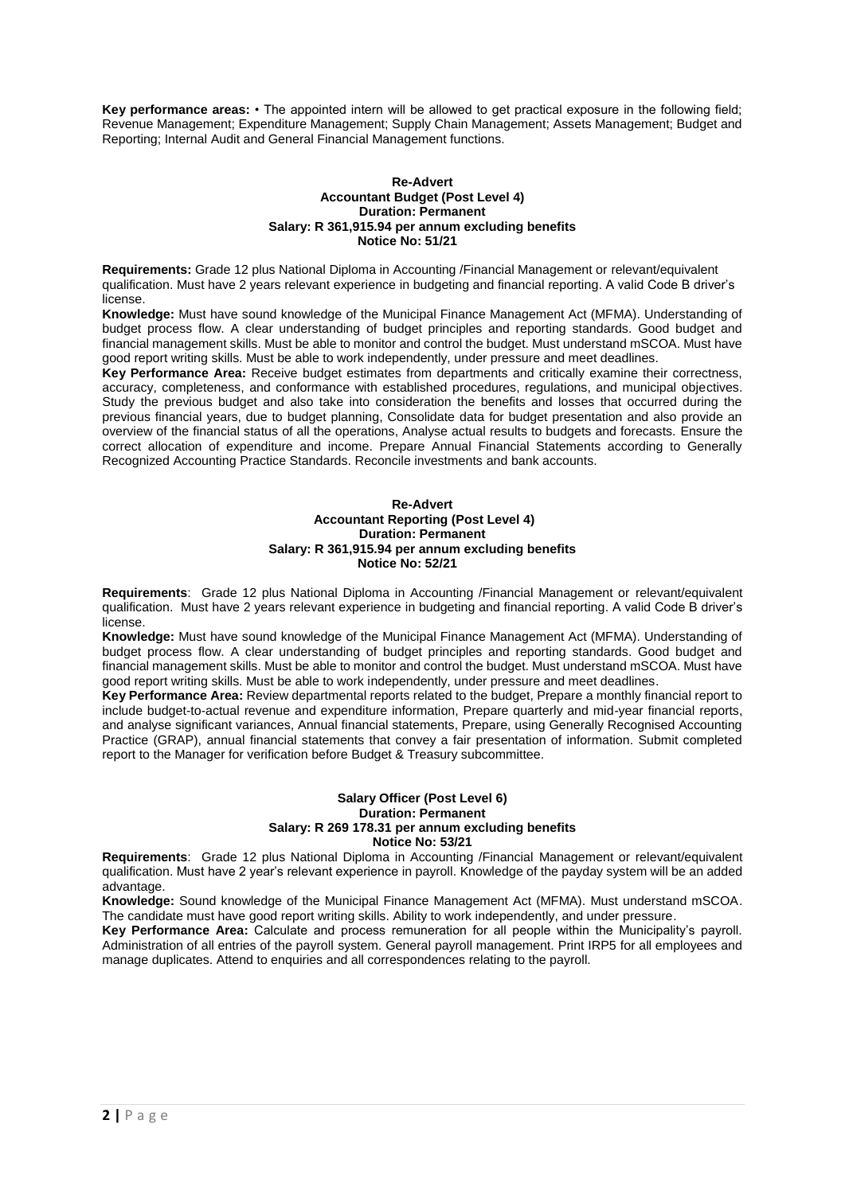**Key performance areas:** • The appointed intern will be allowed to get practical exposure in the following field; Revenue Management; Expenditure Management; Supply Chain Management; Assets Management; Budget and Reporting; Internal Audit and General Financial Management functions.

#### **Re-Advert Accountant Budget (Post Level 4) Duration: Permanent Salary: R 361,915.94 per annum excluding benefits Notice No: 51/21**

**Requirements:** Grade 12 plus National Diploma in Accounting /Financial Management or relevant/equivalent qualification. Must have 2 years relevant experience in budgeting and financial reporting. A valid Code B driver's license.

**Knowledge:** Must have sound knowledge of the Municipal Finance Management Act (MFMA). Understanding of budget process flow. A clear understanding of budget principles and reporting standards. Good budget and financial management skills. Must be able to monitor and control the budget. Must understand mSCOA. Must have good report writing skills. Must be able to work independently, under pressure and meet deadlines.

**Key Performance Area:** Receive budget estimates from departments and critically examine their correctness, accuracy, completeness, and conformance with established procedures, regulations, and municipal objectives. Study the previous budget and also take into consideration the benefits and losses that occurred during the previous financial years, due to budget planning, Consolidate data for budget presentation and also provide an overview of the financial status of all the operations, Analyse actual results to budgets and forecasts. Ensure the correct allocation of expenditure and income. Prepare Annual Financial Statements according to Generally Recognized Accounting Practice Standards. Reconcile investments and bank accounts.

#### **Re-Advert Accountant Reporting (Post Level 4) Duration: Permanent Salary: R 361,915.94 per annum excluding benefits Notice No: 52/21**

**Requirements**: Grade 12 plus National Diploma in Accounting /Financial Management or relevant/equivalent qualification. Must have 2 years relevant experience in budgeting and financial reporting. A valid Code B driver's license.

**Knowledge:** Must have sound knowledge of the Municipal Finance Management Act (MFMA). Understanding of budget process flow. A clear understanding of budget principles and reporting standards. Good budget and financial management skills. Must be able to monitor and control the budget. Must understand mSCOA. Must have good report writing skills. Must be able to work independently, under pressure and meet deadlines.

**Key Performance Area:** Review departmental reports related to the budget, Prepare a monthly financial report to include budget-to-actual revenue and expenditure information, Prepare quarterly and mid-year financial reports, and analyse significant variances, Annual financial statements, Prepare, using Generally Recognised Accounting Practice (GRAP), annual financial statements that convey a fair presentation of information. Submit completed report to the Manager for verification before Budget & Treasury subcommittee.

#### **Salary Officer (Post Level 6) Duration: Permanent Salary: R 269 178.31 per annum excluding benefits Notice No: 53/21**

**Requirements**: Grade 12 plus National Diploma in Accounting /Financial Management or relevant/equivalent qualification. Must have 2 year's relevant experience in payroll. Knowledge of the payday system will be an added advantage.

**Knowledge:** Sound knowledge of the Municipal Finance Management Act (MFMA). Must understand mSCOA. The candidate must have good report writing skills. Ability to work independently, and under pressure.

**Key Performance Area:** Calculate and process remuneration for all people within the Municipality's payroll. Administration of all entries of the payroll system. General payroll management. Print IRP5 for all employees and manage duplicates. Attend to enquiries and all correspondences relating to the payroll.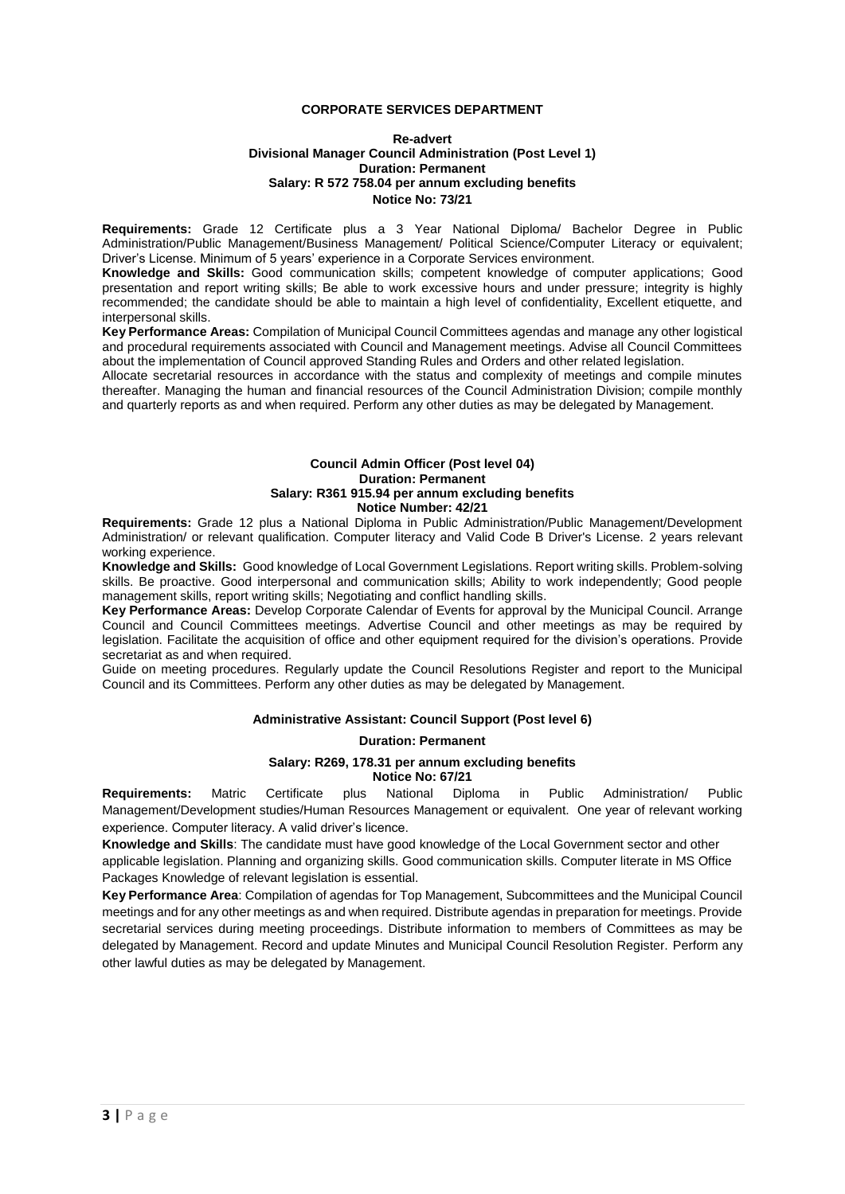## **CORPORATE SERVICES DEPARTMENT**

#### **Re-advert Divisional Manager Council Administration (Post Level 1) Duration: Permanent Salary: R 572 758.04 per annum excluding benefits Notice No: 73/21**

**Requirements:** Grade 12 Certificate plus a 3 Year National Diploma/ Bachelor Degree in Public Administration/Public Management/Business Management/ Political Science/Computer Literacy or equivalent; Driver's License. Minimum of 5 years' experience in a Corporate Services environment.

**Knowledge and Skills:** Good communication skills; competent knowledge of computer applications; Good presentation and report writing skills; Be able to work excessive hours and under pressure; integrity is highly recommended; the candidate should be able to maintain a high level of confidentiality, Excellent etiquette, and interpersonal skills.

**Key Performance Areas:** Compilation of Municipal Council Committees agendas and manage any other logistical and procedural requirements associated with Council and Management meetings. Advise all Council Committees about the implementation of Council approved Standing Rules and Orders and other related legislation.

Allocate secretarial resources in accordance with the status and complexity of meetings and compile minutes thereafter. Managing the human and financial resources of the Council Administration Division; compile monthly and quarterly reports as and when required. Perform any other duties as may be delegated by Management.

#### **Council Admin Officer (Post level 04) Duration: Permanent Salary: R361 915.94 per annum excluding benefits Notice Number: 42/21**

**Requirements:** Grade 12 plus a National Diploma in Public Administration/Public Management/Development Administration/ or relevant qualification. Computer literacy and Valid Code B Driver's License. 2 years relevant working experience.

**Knowledge and Skills:** Good knowledge of Local Government Legislations. Report writing skills. Problem-solving skills. Be proactive. Good interpersonal and communication skills; Ability to work independently; Good people management skills, report writing skills; Negotiating and conflict handling skills.

**Key Performance Areas:** Develop Corporate Calendar of Events for approval by the Municipal Council. Arrange Council and Council Committees meetings. Advertise Council and other meetings as may be required by legislation. Facilitate the acquisition of office and other equipment required for the division's operations. Provide secretariat as and when required.

Guide on meeting procedures. Regularly update the Council Resolutions Register and report to the Municipal Council and its Committees. Perform any other duties as may be delegated by Management.

## **Administrative Assistant: Council Support (Post level 6)**

## **Duration: Permanent**

# **Salary: R269, 178.31 per annum excluding benefits Notice No: 67/21**

**Requirements:** Matric Certificate plus National Diploma in Public Administration/ Public Management/Development studies/Human Resources Management or equivalent. One year of relevant working experience. Computer literacy. A valid driver's licence.

**Knowledge and Skills**: The candidate must have good knowledge of the Local Government sector and other applicable legislation. Planning and organizing skills. Good communication skills. Computer literate in MS Office Packages Knowledge of relevant legislation is essential.

**Key Performance Area**: Compilation of agendas for Top Management, Subcommittees and the Municipal Council meetings and for any other meetings as and when required. Distribute agendas in preparation for meetings. Provide secretarial services during meeting proceedings. Distribute information to members of Committees as may be delegated by Management. Record and update Minutes and Municipal Council Resolution Register. Perform any other lawful duties as may be delegated by Management.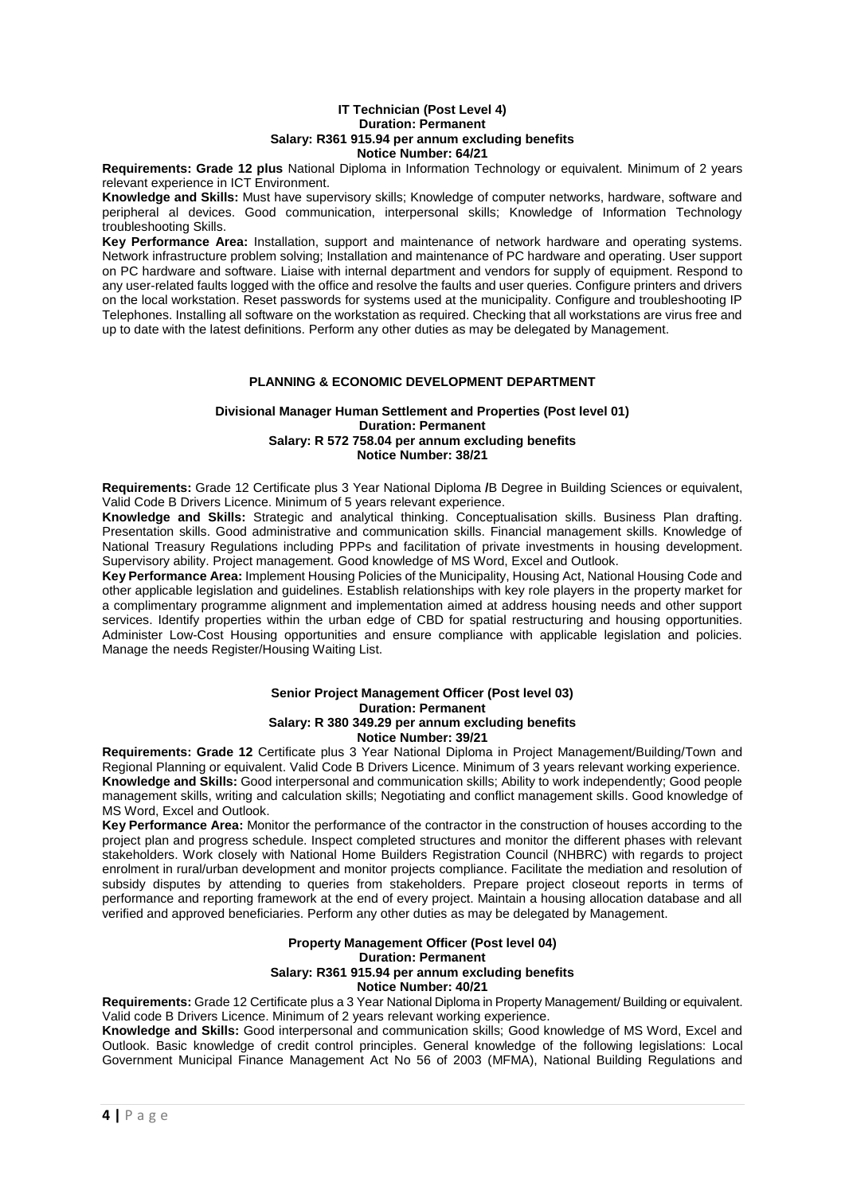#### **IT Technician (Post Level 4) Duration: Permanent Salary: R361 915.94 per annum excluding benefits Notice Number: 64/21**

**Requirements: Grade 12 plus** National Diploma in Information Technology or equivalent. Minimum of 2 years relevant experience in ICT Environment.

**Knowledge and Skills:** Must have supervisory skills; Knowledge of computer networks, hardware, software and peripheral al devices. Good communication, interpersonal skills; Knowledge of Information Technology troubleshooting Skills.

**Key Performance Area:** Installation, support and maintenance of network hardware and operating systems. Network infrastructure problem solving; Installation and maintenance of PC hardware and operating. User support on PC hardware and software. Liaise with internal department and vendors for supply of equipment. Respond to any user-related faults logged with the office and resolve the faults and user queries. Configure printers and drivers on the local workstation. Reset passwords for systems used at the municipality. Configure and troubleshooting IP Telephones. Installing all software on the workstation as required. Checking that all workstations are virus free and up to date with the latest definitions. Perform any other duties as may be delegated by Management.

## **PLANNING & ECONOMIC DEVELOPMENT DEPARTMENT**

#### **Divisional Manager Human Settlement and Properties (Post level 01) Duration: Permanent Salary: R 572 758.04 per annum excluding benefits Notice Number: 38/21**

**Requirements:** Grade 12 Certificate plus 3 Year National Diploma **/**B Degree in Building Sciences or equivalent, Valid Code B Drivers Licence. Minimum of 5 years relevant experience.

**Knowledge and Skills:** Strategic and analytical thinking. Conceptualisation skills. Business Plan drafting. Presentation skills. Good administrative and communication skills. Financial management skills. Knowledge of National Treasury Regulations including PPPs and facilitation of private investments in housing development. Supervisory ability. Project management. Good knowledge of MS Word, Excel and Outlook.

**Key Performance Area:** Implement Housing Policies of the Municipality, Housing Act, National Housing Code and other applicable legislation and guidelines. Establish relationships with key role players in the property market for a complimentary programme alignment and implementation aimed at address housing needs and other support services. Identify properties within the urban edge of CBD for spatial restructuring and housing opportunities. Administer Low-Cost Housing opportunities and ensure compliance with applicable legislation and policies. Manage the needs Register/Housing Waiting List.

#### **Senior Project Management Officer (Post level 03) Duration: Permanent Salary: R 380 349.29 per annum excluding benefits Notice Number: 39/21**

**Requirements: Grade 12** Certificate plus 3 Year National Diploma in Project Management/Building/Town and Regional Planning or equivalent. Valid Code B Drivers Licence. Minimum of 3 years relevant working experience. **Knowledge and Skills:** Good interpersonal and communication skills; Ability to work independently; Good people management skills, writing and calculation skills; Negotiating and conflict management skills. Good knowledge of MS Word, Excel and Outlook.

**Key Performance Area:** Monitor the performance of the contractor in the construction of houses according to the project plan and progress schedule. Inspect completed structures and monitor the different phases with relevant stakeholders. Work closely with National Home Builders Registration Council (NHBRC) with regards to project enrolment in rural/urban development and monitor projects compliance. Facilitate the mediation and resolution of subsidy disputes by attending to queries from stakeholders. Prepare project closeout reports in terms of performance and reporting framework at the end of every project. Maintain a housing allocation database and all verified and approved beneficiaries. Perform any other duties as may be delegated by Management.

#### **Property Management Officer (Post level 04) Duration: Permanent Salary: R361 915.94 per annum excluding benefits Notice Number: 40/21**

**Requirements:** Grade 12 Certificate plus a 3 Year National Diploma in Property Management/ Building or equivalent. Valid code B Drivers Licence. Minimum of 2 years relevant working experience.

**Knowledge and Skills:** Good interpersonal and communication skills; Good knowledge of MS Word, Excel and Outlook. Basic knowledge of credit control principles. General knowledge of the following legislations: Local Government Municipal Finance Management Act No 56 of 2003 (MFMA), National Building Regulations and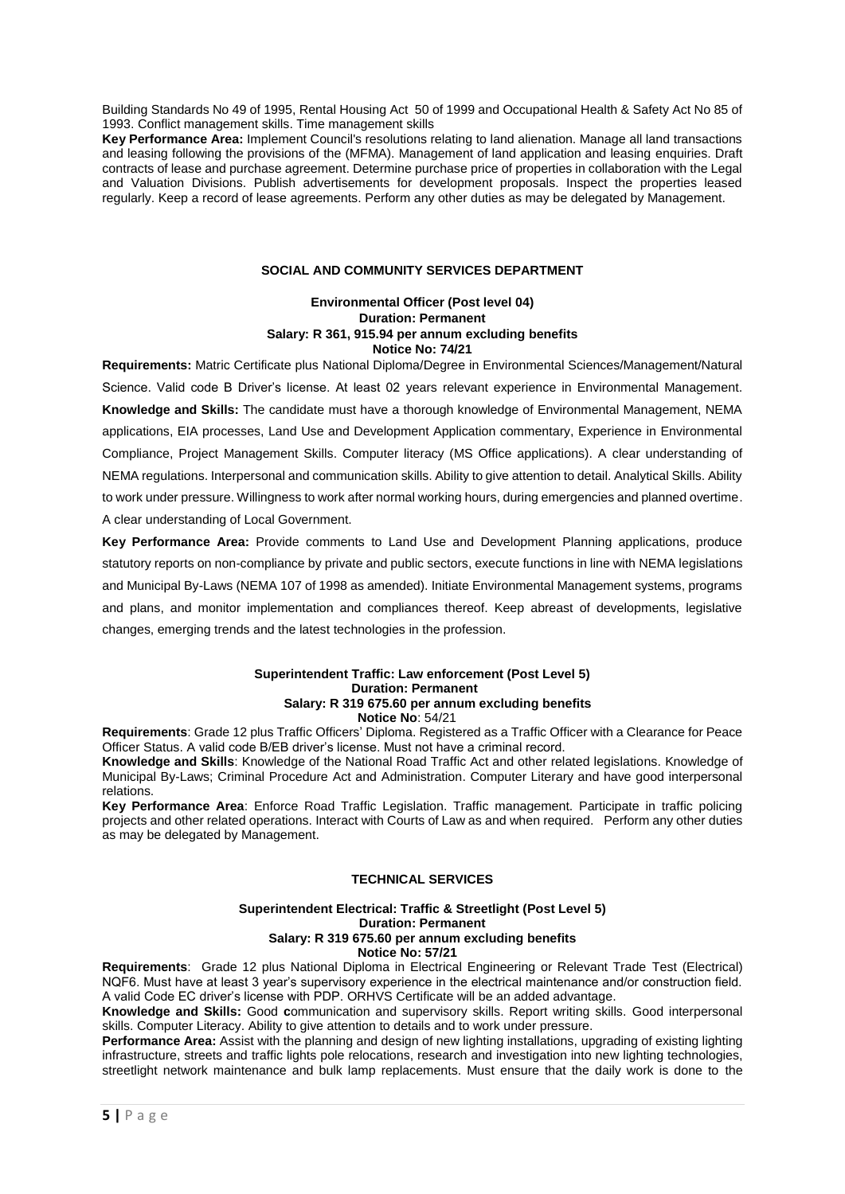Building Standards No 49 of 1995, Rental Housing Act 50 of 1999 and Occupational Health & Safety Act No 85 of 1993. Conflict management skills. Time management skills

**Key Performance Area:** Implement Council's resolutions relating to land alienation. Manage all land transactions and leasing following the provisions of the (MFMA). Management of land application and leasing enquiries. Draft contracts of lease and purchase agreement. Determine purchase price of properties in collaboration with the Legal and Valuation Divisions. Publish advertisements for development proposals. Inspect the properties leased regularly. Keep a record of lease agreements. Perform any other duties as may be delegated by Management.

## **SOCIAL AND COMMUNITY SERVICES DEPARTMENT**

## **Environmental Officer (Post level 04) Duration: Permanent Salary: R 361, 915.94 per annum excluding benefits Notice No: 74/21**

**Requirements:** Matric Certificate plus National Diploma/Degree in Environmental Sciences/Management/Natural Science. Valid code B Driver's license. At least 02 years relevant experience in Environmental Management. **Knowledge and Skills:** The candidate must have a thorough knowledge of Environmental Management, NEMA applications, EIA processes, Land Use and Development Application commentary, Experience in Environmental Compliance, Project Management Skills. Computer literacy (MS Office applications). A clear understanding of NEMA regulations. Interpersonal and communication skills. Ability to give attention to detail. Analytical Skills. Ability to work under pressure. Willingness to work after normal working hours, during emergencies and planned overtime. A clear understanding of Local Government.

**Key Performance Area:** Provide comments to Land Use and Development Planning applications, produce statutory reports on non-compliance by private and public sectors, execute functions in line with NEMA legislations and Municipal By-Laws (NEMA 107 of 1998 as amended). Initiate Environmental Management systems, programs and plans, and monitor implementation and compliances thereof. Keep abreast of developments, legislative changes, emerging trends and the latest technologies in the profession.

#### **Superintendent Traffic: Law enforcement (Post Level 5) Duration: Permanent Salary: R 319 675.60 per annum excluding benefits Notice No**: 54/21

**Requirements**: Grade 12 plus Traffic Officers' Diploma. Registered as a Traffic Officer with a Clearance for Peace Officer Status. A valid code B/EB driver's license. Must not have a criminal record.

**Knowledge and Skills**: Knowledge of the National Road Traffic Act and other related legislations. Knowledge of Municipal By-Laws; Criminal Procedure Act and Administration. Computer Literary and have good interpersonal relations.

**Key Performance Area**: Enforce Road Traffic Legislation. Traffic management. Participate in traffic policing projects and other related operations. Interact with Courts of Law as and when required. Perform any other duties as may be delegated by Management.

## **TECHNICAL SERVICES**

#### **Superintendent Electrical: Traffic & Streetlight (Post Level 5) Duration: Permanent Salary: R 319 675.60 per annum excluding benefits Notice No: 57/21**

**Requirements**: Grade 12 plus National Diploma in Electrical Engineering or Relevant Trade Test (Electrical) NQF6. Must have at least 3 year's supervisory experience in the electrical maintenance and/or construction field. A valid Code EC driver's license with PDP. ORHVS Certificate will be an added advantage.

**Knowledge and Skills:** Good **c**ommunication and supervisory skills. Report writing skills. Good interpersonal skills. Computer Literacy. Ability to give attention to details and to work under pressure.

**Performance Area:** Assist with the planning and design of new lighting installations, upgrading of existing lighting infrastructure, streets and traffic lights pole relocations, research and investigation into new lighting technologies, streetlight network maintenance and bulk lamp replacements. Must ensure that the daily work is done to the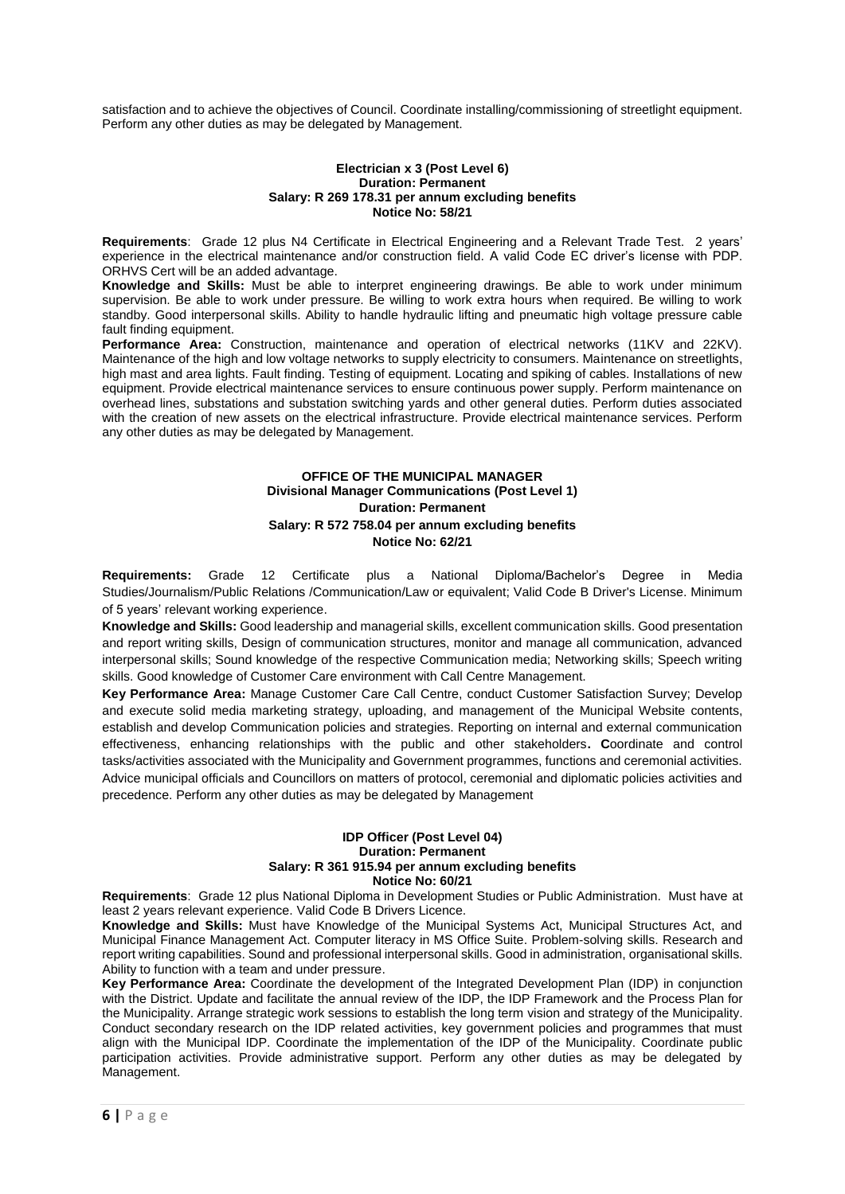satisfaction and to achieve the objectives of Council. Coordinate installing/commissioning of streetlight equipment. Perform any other duties as may be delegated by Management.

## **Electrician x 3 (Post Level 6) Duration: Permanent Salary: R 269 178.31 per annum excluding benefits Notice No: 58/21**

**Requirements**: Grade 12 plus N4 Certificate in Electrical Engineering and a Relevant Trade Test. 2 years' experience in the electrical maintenance and/or construction field. A valid Code EC driver's license with PDP. ORHVS Cert will be an added advantage.

**Knowledge and Skills:** Must be able to interpret engineering drawings. Be able to work under minimum supervision. Be able to work under pressure. Be willing to work extra hours when required. Be willing to work standby. Good interpersonal skills. Ability to handle hydraulic lifting and pneumatic high voltage pressure cable fault finding equipment.

**Performance Area:** Construction, maintenance and operation of electrical networks (11KV and 22KV). Maintenance of the high and low voltage networks to supply electricity to consumers. Maintenance on streetlights, high mast and area lights. Fault finding. Testing of equipment. Locating and spiking of cables. Installations of new equipment. Provide electrical maintenance services to ensure continuous power supply. Perform maintenance on overhead lines, substations and substation switching yards and other general duties. Perform duties associated with the creation of new assets on the electrical infrastructure. Provide electrical maintenance services. Perform any other duties as may be delegated by Management.

# **OFFICE OF THE MUNICIPAL MANAGER Divisional Manager Communications (Post Level 1) Duration: Permanent Salary: R 572 758.04 per annum excluding benefits Notice No: 62/21**

**Requirements:** Grade 12 Certificate plus a National Diploma/Bachelor's Degree in Media Studies/Journalism/Public Relations /Communication/Law or equivalent; Valid Code B Driver's License. Minimum of 5 years' relevant working experience.

**Knowledge and Skills:** Good leadership and managerial skills, excellent communication skills. Good presentation and report writing skills, Design of communication structures, monitor and manage all communication, advanced interpersonal skills; Sound knowledge of the respective Communication media; Networking skills; Speech writing skills. Good knowledge of Customer Care environment with Call Centre Management.

**Key Performance Area:** Manage Customer Care Call Centre, conduct Customer Satisfaction Survey; Develop and execute solid media marketing strategy, uploading, and management of the Municipal Website contents, establish and develop Communication policies and strategies. Reporting on internal and external communication effectiveness, enhancing relationships with the public and other stakeholders**. C**oordinate and control tasks/activities associated with the Municipality and Government programmes, functions and ceremonial activities. Advice municipal officials and Councillors on matters of protocol, ceremonial and diplomatic policies activities and precedence. Perform any other duties as may be delegated by Management

## **IDP Officer (Post Level 04) Duration: Permanent Salary: R 361 915.94 per annum excluding benefits Notice No: 60/21**

**Requirements**: Grade 12 plus National Diploma in Development Studies or Public Administration. Must have at least 2 years relevant experience. Valid Code B Drivers Licence.

**Knowledge and Skills:** Must have Knowledge of the Municipal Systems Act, Municipal Structures Act, and Municipal Finance Management Act. Computer literacy in MS Office Suite. Problem-solving skills. Research and report writing capabilities. Sound and professional interpersonal skills. Good in administration, organisational skills. Ability to function with a team and under pressure.

**Key Performance Area:** Coordinate the development of the Integrated Development Plan (IDP) in conjunction with the District. Update and facilitate the annual review of the IDP, the IDP Framework and the Process Plan for the Municipality. Arrange strategic work sessions to establish the long term vision and strategy of the Municipality. Conduct secondary research on the IDP related activities, key government policies and programmes that must align with the Municipal IDP. Coordinate the implementation of the IDP of the Municipality. Coordinate public participation activities. Provide administrative support. Perform any other duties as may be delegated by Management.